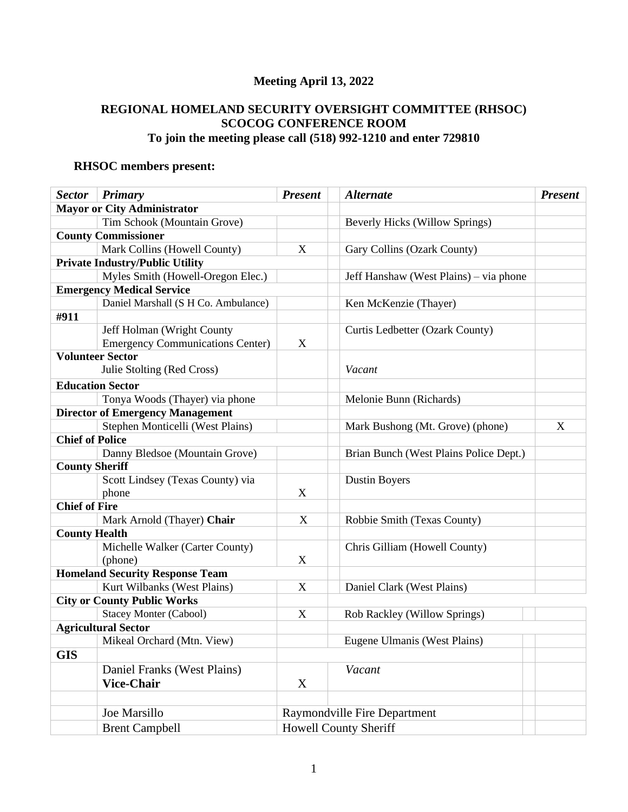# **Meeting April 13, 2022**

## **REGIONAL HOMELAND SECURITY OVERSIGHT COMMITTEE (RHSOC) SCOCOG CONFERENCE ROOM To join the meeting please call (518) 992-1210 and enter 729810**

# **RHSOC members present:**

| <b>Mayor or City Administrator</b><br>Tim Schook (Mountain Grove)<br><b>Beverly Hicks (Willow Springs)</b><br><b>County Commissioner</b><br>Mark Collins (Howell County)<br>X<br>Gary Collins (Ozark County)<br><b>Private Industry/Public Utility</b><br>Myles Smith (Howell-Oregon Elec.)<br>Jeff Hanshaw (West Plains) – via phone<br><b>Emergency Medical Service</b><br>Daniel Marshall (S H Co. Ambulance)<br>Ken McKenzie (Thayer)<br>#911<br>Jeff Holman (Wright County<br>Curtis Ledbetter (Ozark County) | <b>Sector</b> | Primary                                 | <b>Present</b> | <b>Alternate</b> | <b>Present</b> |
|--------------------------------------------------------------------------------------------------------------------------------------------------------------------------------------------------------------------------------------------------------------------------------------------------------------------------------------------------------------------------------------------------------------------------------------------------------------------------------------------------------------------|---------------|-----------------------------------------|----------------|------------------|----------------|
|                                                                                                                                                                                                                                                                                                                                                                                                                                                                                                                    |               |                                         |                |                  |                |
|                                                                                                                                                                                                                                                                                                                                                                                                                                                                                                                    |               |                                         |                |                  |                |
|                                                                                                                                                                                                                                                                                                                                                                                                                                                                                                                    |               |                                         |                |                  |                |
|                                                                                                                                                                                                                                                                                                                                                                                                                                                                                                                    |               |                                         |                |                  |                |
|                                                                                                                                                                                                                                                                                                                                                                                                                                                                                                                    |               |                                         |                |                  |                |
|                                                                                                                                                                                                                                                                                                                                                                                                                                                                                                                    |               |                                         |                |                  |                |
|                                                                                                                                                                                                                                                                                                                                                                                                                                                                                                                    |               |                                         |                |                  |                |
|                                                                                                                                                                                                                                                                                                                                                                                                                                                                                                                    |               |                                         |                |                  |                |
|                                                                                                                                                                                                                                                                                                                                                                                                                                                                                                                    |               |                                         |                |                  |                |
|                                                                                                                                                                                                                                                                                                                                                                                                                                                                                                                    |               |                                         |                |                  |                |
| X                                                                                                                                                                                                                                                                                                                                                                                                                                                                                                                  |               | <b>Emergency Communications Center)</b> |                |                  |                |
| <b>Volunteer Sector</b>                                                                                                                                                                                                                                                                                                                                                                                                                                                                                            |               |                                         |                |                  |                |
| Julie Stolting (Red Cross)<br>Vacant                                                                                                                                                                                                                                                                                                                                                                                                                                                                               |               |                                         |                |                  |                |
| <b>Education Sector</b>                                                                                                                                                                                                                                                                                                                                                                                                                                                                                            |               |                                         |                |                  |                |
| Tonya Woods (Thayer) via phone<br>Melonie Bunn (Richards)                                                                                                                                                                                                                                                                                                                                                                                                                                                          |               |                                         |                |                  |                |
| <b>Director of Emergency Management</b>                                                                                                                                                                                                                                                                                                                                                                                                                                                                            |               |                                         |                |                  |                |
| X<br>Stephen Monticelli (West Plains)<br>Mark Bushong (Mt. Grove) (phone)                                                                                                                                                                                                                                                                                                                                                                                                                                          |               |                                         |                |                  |                |
| <b>Chief of Police</b>                                                                                                                                                                                                                                                                                                                                                                                                                                                                                             |               |                                         |                |                  |                |
| Danny Bledsoe (Mountain Grove)<br>Brian Bunch (West Plains Police Dept.)                                                                                                                                                                                                                                                                                                                                                                                                                                           |               |                                         |                |                  |                |
| <b>County Sheriff</b>                                                                                                                                                                                                                                                                                                                                                                                                                                                                                              |               |                                         |                |                  |                |
| Scott Lindsey (Texas County) via<br><b>Dustin Boyers</b>                                                                                                                                                                                                                                                                                                                                                                                                                                                           |               |                                         |                |                  |                |
| X<br>phone                                                                                                                                                                                                                                                                                                                                                                                                                                                                                                         |               |                                         |                |                  |                |
| <b>Chief of Fire</b>                                                                                                                                                                                                                                                                                                                                                                                                                                                                                               |               |                                         |                |                  |                |
| Mark Arnold (Thayer) Chair<br>$\boldsymbol{\mathrm{X}}$<br>Robbie Smith (Texas County)                                                                                                                                                                                                                                                                                                                                                                                                                             |               |                                         |                |                  |                |
| <b>County Health</b>                                                                                                                                                                                                                                                                                                                                                                                                                                                                                               |               |                                         |                |                  |                |
| Michelle Walker (Carter County)<br>Chris Gilliam (Howell County)                                                                                                                                                                                                                                                                                                                                                                                                                                                   |               |                                         |                |                  |                |
| X<br>(phone)                                                                                                                                                                                                                                                                                                                                                                                                                                                                                                       |               |                                         |                |                  |                |
| <b>Homeland Security Response Team</b>                                                                                                                                                                                                                                                                                                                                                                                                                                                                             |               |                                         |                |                  |                |
| Kurt Wilbanks (West Plains)<br>X<br>Daniel Clark (West Plains)                                                                                                                                                                                                                                                                                                                                                                                                                                                     |               |                                         |                |                  |                |
| <b>City or County Public Works</b>                                                                                                                                                                                                                                                                                                                                                                                                                                                                                 |               |                                         |                |                  |                |
| <b>Stacey Monter (Cabool)</b><br>X<br>Rob Rackley (Willow Springs)                                                                                                                                                                                                                                                                                                                                                                                                                                                 |               |                                         |                |                  |                |
| <b>Agricultural Sector</b>                                                                                                                                                                                                                                                                                                                                                                                                                                                                                         |               |                                         |                |                  |                |
| Mikeal Orchard (Mtn. View)<br>Eugene Ulmanis (West Plains)                                                                                                                                                                                                                                                                                                                                                                                                                                                         |               |                                         |                |                  |                |
| <b>GIS</b>                                                                                                                                                                                                                                                                                                                                                                                                                                                                                                         |               |                                         |                |                  |                |
| Daniel Franks (West Plains)<br>Vacant                                                                                                                                                                                                                                                                                                                                                                                                                                                                              |               |                                         |                |                  |                |
| <b>Vice-Chair</b><br>X                                                                                                                                                                                                                                                                                                                                                                                                                                                                                             |               |                                         |                |                  |                |
|                                                                                                                                                                                                                                                                                                                                                                                                                                                                                                                    |               |                                         |                |                  |                |
| Joe Marsillo<br><b>Raymondville Fire Department</b>                                                                                                                                                                                                                                                                                                                                                                                                                                                                |               |                                         |                |                  |                |
| <b>Brent Campbell</b><br><b>Howell County Sheriff</b>                                                                                                                                                                                                                                                                                                                                                                                                                                                              |               |                                         |                |                  |                |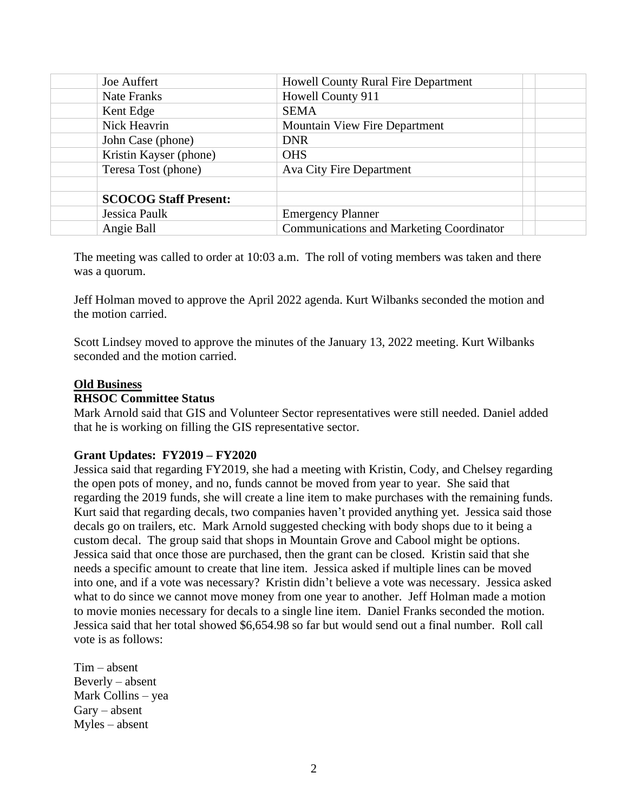| Joe Auffert                  | <b>Howell County Rural Fire Department</b>      |  |  |
|------------------------------|-------------------------------------------------|--|--|
| Nate Franks                  | Howell County 911                               |  |  |
| Kent Edge                    | <b>SEMA</b>                                     |  |  |
| Nick Heavrin                 | <b>Mountain View Fire Department</b>            |  |  |
| John Case (phone)            | <b>DNR</b>                                      |  |  |
| Kristin Kayser (phone)       | <b>OHS</b>                                      |  |  |
| Teresa Tost (phone)          | <b>Ava City Fire Department</b>                 |  |  |
|                              |                                                 |  |  |
| <b>SCOCOG Staff Present:</b> |                                                 |  |  |
| Jessica Paulk                | <b>Emergency Planner</b>                        |  |  |
| Angie Ball                   | <b>Communications and Marketing Coordinator</b> |  |  |

The meeting was called to order at 10:03 a.m. The roll of voting members was taken and there was a quorum.

Jeff Holman moved to approve the April 2022 agenda. Kurt Wilbanks seconded the motion and the motion carried.

Scott Lindsey moved to approve the minutes of the January 13, 2022 meeting. Kurt Wilbanks seconded and the motion carried.

#### **Old Business**

#### **RHSOC Committee Status**

Mark Arnold said that GIS and Volunteer Sector representatives were still needed. Daniel added that he is working on filling the GIS representative sector.

### **Grant Updates: FY2019 – FY2020**

Jessica said that regarding FY2019, she had a meeting with Kristin, Cody, and Chelsey regarding the open pots of money, and no, funds cannot be moved from year to year. She said that regarding the 2019 funds, she will create a line item to make purchases with the remaining funds. Kurt said that regarding decals, two companies haven't provided anything yet. Jessica said those decals go on trailers, etc. Mark Arnold suggested checking with body shops due to it being a custom decal. The group said that shops in Mountain Grove and Cabool might be options. Jessica said that once those are purchased, then the grant can be closed. Kristin said that she needs a specific amount to create that line item. Jessica asked if multiple lines can be moved into one, and if a vote was necessary? Kristin didn't believe a vote was necessary. Jessica asked what to do since we cannot move money from one year to another. Jeff Holman made a motion to movie monies necessary for decals to a single line item. Daniel Franks seconded the motion. Jessica said that her total showed \$6,654.98 so far but would send out a final number. Roll call vote is as follows:

Tim – absent Beverly – absent Mark Collins – yea Gary – absent Myles – absent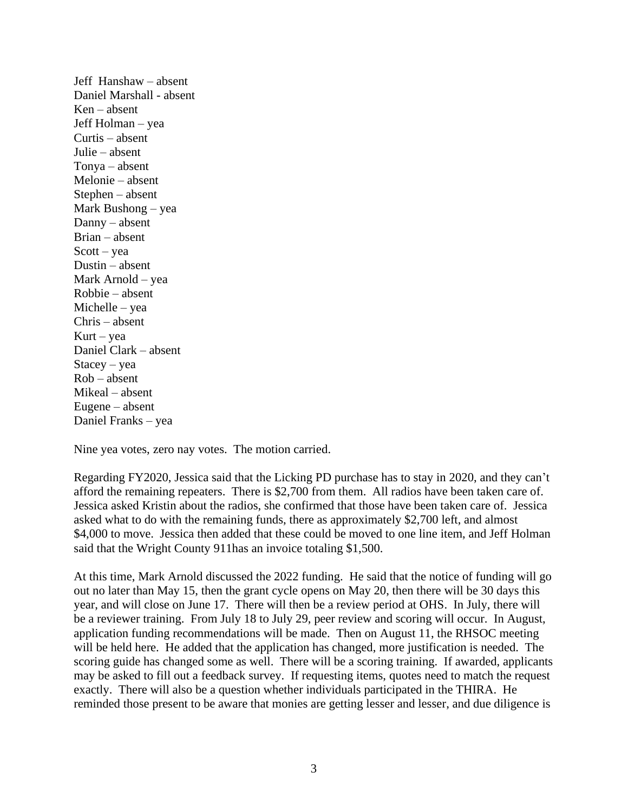Jeff Hanshaw – absent Daniel Marshall - absent Ken – absent Jeff Holman – yea Curtis – absent Julie – absent Tonya – absent Melonie – absent Stephen – absent Mark Bushong – yea Danny – absent Brian – absent  $Scott - vea$ Dustin – absent Mark Arnold – yea Robbie – absent Michelle – yea Chris – absent  $Kurt - yea$ Daniel Clark – absent Stacey – yea Rob – absent Mikeal – absent Eugene – absent Daniel Franks – yea

Nine yea votes, zero nay votes. The motion carried.

Regarding FY2020, Jessica said that the Licking PD purchase has to stay in 2020, and they can't afford the remaining repeaters. There is \$2,700 from them. All radios have been taken care of. Jessica asked Kristin about the radios, she confirmed that those have been taken care of. Jessica asked what to do with the remaining funds, there as approximately \$2,700 left, and almost \$4,000 to move. Jessica then added that these could be moved to one line item, and Jeff Holman said that the Wright County 911has an invoice totaling \$1,500.

At this time, Mark Arnold discussed the 2022 funding. He said that the notice of funding will go out no later than May 15, then the grant cycle opens on May 20, then there will be 30 days this year, and will close on June 17. There will then be a review period at OHS. In July, there will be a reviewer training. From July 18 to July 29, peer review and scoring will occur. In August, application funding recommendations will be made. Then on August 11, the RHSOC meeting will be held here. He added that the application has changed, more justification is needed. The scoring guide has changed some as well. There will be a scoring training. If awarded, applicants may be asked to fill out a feedback survey. If requesting items, quotes need to match the request exactly. There will also be a question whether individuals participated in the THIRA. He reminded those present to be aware that monies are getting lesser and lesser, and due diligence is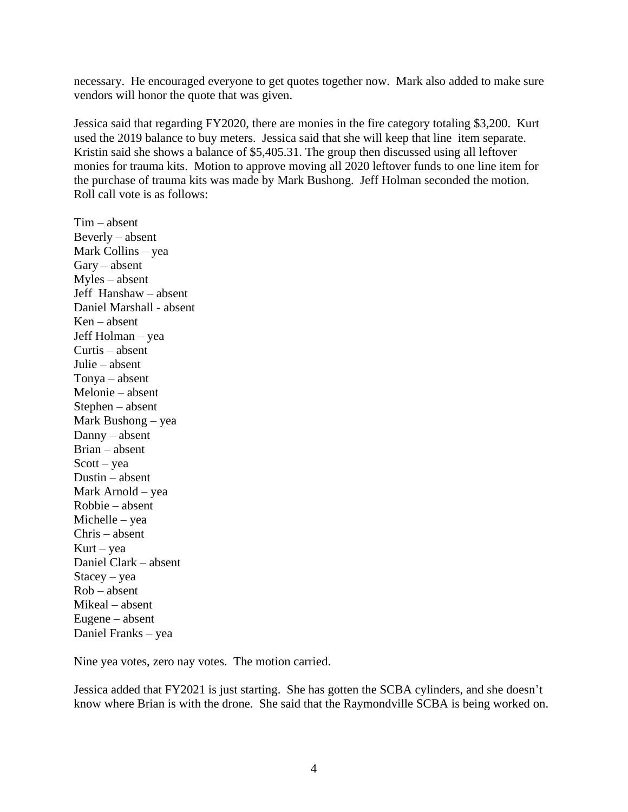necessary. He encouraged everyone to get quotes together now. Mark also added to make sure vendors will honor the quote that was given.

Jessica said that regarding FY2020, there are monies in the fire category totaling \$3,200. Kurt used the 2019 balance to buy meters. Jessica said that she will keep that line item separate. Kristin said she shows a balance of \$5,405.31. The group then discussed using all leftover monies for trauma kits. Motion to approve moving all 2020 leftover funds to one line item for the purchase of trauma kits was made by Mark Bushong. Jeff Holman seconded the motion. Roll call vote is as follows:

Tim – absent Beverly – absent Mark Collins – yea Gary – absent Myles – absent Jeff Hanshaw – absent Daniel Marshall - absent Ken – absent Jeff Holman – yea Curtis – absent Julie – absent Tonya – absent Melonie – absent Stephen – absent Mark Bushong – yea Danny – absent Brian – absent  $Scott - vea$ Dustin – absent Mark Arnold – yea Robbie – absent Michelle – yea Chris – absent Kurt – yea Daniel Clark – absent Stacey – yea Rob – absent Mikeal – absent Eugene – absent Daniel Franks – yea

Nine yea votes, zero nay votes. The motion carried.

Jessica added that FY2021 is just starting. She has gotten the SCBA cylinders, and she doesn't know where Brian is with the drone. She said that the Raymondville SCBA is being worked on.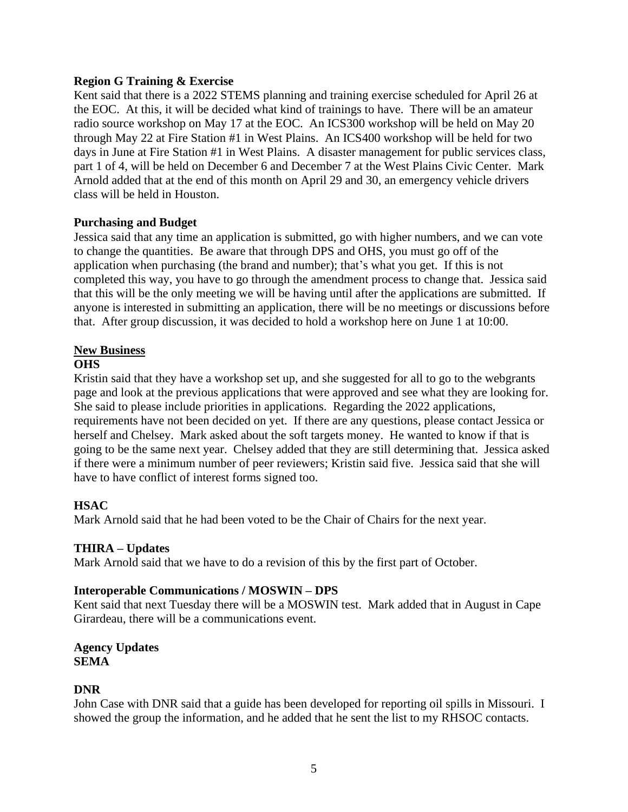### **Region G Training & Exercise**

Kent said that there is a 2022 STEMS planning and training exercise scheduled for April 26 at the EOC. At this, it will be decided what kind of trainings to have. There will be an amateur radio source workshop on May 17 at the EOC. An ICS300 workshop will be held on May 20 through May 22 at Fire Station #1 in West Plains. An ICS400 workshop will be held for two days in June at Fire Station #1 in West Plains. A disaster management for public services class, part 1 of 4, will be held on December 6 and December 7 at the West Plains Civic Center. Mark Arnold added that at the end of this month on April 29 and 30, an emergency vehicle drivers class will be held in Houston.

### **Purchasing and Budget**

Jessica said that any time an application is submitted, go with higher numbers, and we can vote to change the quantities. Be aware that through DPS and OHS, you must go off of the application when purchasing (the brand and number); that's what you get. If this is not completed this way, you have to go through the amendment process to change that. Jessica said that this will be the only meeting we will be having until after the applications are submitted. If anyone is interested in submitting an application, there will be no meetings or discussions before that. After group discussion, it was decided to hold a workshop here on June 1 at 10:00.

# **New Business**

### **OHS**

Kristin said that they have a workshop set up, and she suggested for all to go to the webgrants page and look at the previous applications that were approved and see what they are looking for. She said to please include priorities in applications. Regarding the 2022 applications, requirements have not been decided on yet. If there are any questions, please contact Jessica or herself and Chelsey. Mark asked about the soft targets money. He wanted to know if that is going to be the same next year. Chelsey added that they are still determining that. Jessica asked if there were a minimum number of peer reviewers; Kristin said five. Jessica said that she will have to have conflict of interest forms signed too.

## **HSAC**

Mark Arnold said that he had been voted to be the Chair of Chairs for the next year.

### **THIRA – Updates**

Mark Arnold said that we have to do a revision of this by the first part of October.

### **Interoperable Communications / MOSWIN – DPS**

Kent said that next Tuesday there will be a MOSWIN test. Mark added that in August in Cape Girardeau, there will be a communications event.

#### **Agency Updates SEMA**

### **DNR**

John Case with DNR said that a guide has been developed for reporting oil spills in Missouri. I showed the group the information, and he added that he sent the list to my RHSOC contacts.